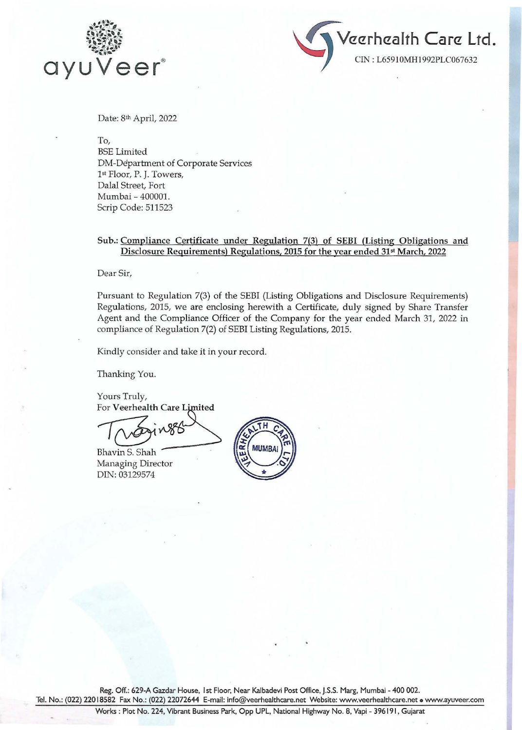



Date: 8th April, 2022

To,

BSE Limited DM-Department of Corporate Services 1st Floor, P. J. Towers, Dalal Street, Fort Mumbai- 400001. Scrip Code: 511523

## Sub.: Compliance Certificate under Regulation 7(3) of SEBI (Listing Obligations and Disclosure Requirements) Regulations, 2015 for the year ended 31st March, 2022

Dear Sir,

Pursuant to Regulation 7(3) of the SEBI (Listing Obligations and Disclosure Requirements) Regulations, 2015, we are enclosing herewith a Certificate, duly signed by Share Transfer Agent and the Compliance Officer of the Company for the year ended March 31, 2022 in compliance of Regulation 7(2) of SEBI Listing Regulations, 2015.

Kindly consider and take it in your record.

Thanking You.

Yours Truly, For Veerhealth Care Limited

 $\pi$   $\overbrace{\text{Log}^{\text{in}}_{\text{Bhavin S. Shah}}$ 

**Bhavin S. Shah** Managing Director DIN: 03129574



Reg. Off.: 629-A Gazdar House, I st Floor, Near Kalbadevi Post Office, J.S.S. Marg, Mumbai - 400 002. Tel. No.: (022) 22018582 Fax No.: (022) 22072644 E-mail: info@veerhealthcare.net Website: www.veerhealthcare.net • www.ayuveer.com